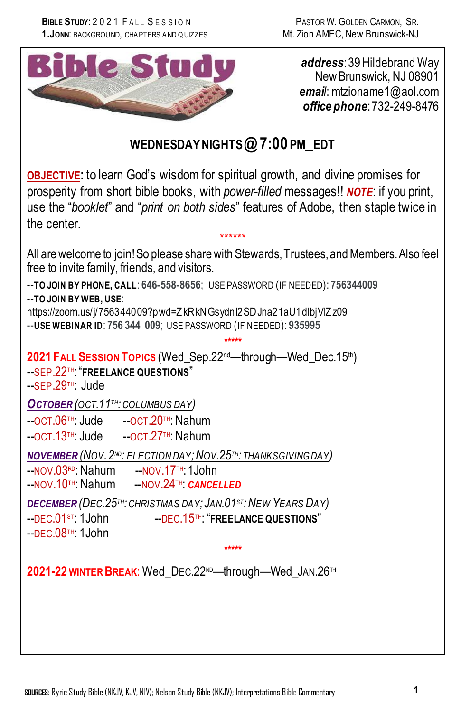

*address*: 39 Hildebrand Way New Brunswick, NJ 08901 *email*: mtzioname1@aol.com *office phone*: 732-249-8476

# **WEDNESDAYNIGHTS @ 7:00 PM\_EDT**

**OBJECTIVE:** to learn God's wisdom for spiritual growth, and divine promises for prosperity from short bible books, with *power-filled* messages!! *NOTE*: if you print, use the "*booklet*" and "*print on both sides*" features of Adobe, then staple twice in the center.

\*\*\*\*\*\* All are welcome to join!So please share with Stewards, Trustees, and Members. Also feel free to invite family, friends, and visitors.

--**TO JOIN BY PHONE, CALL**: **646-558-8656**; USE PASSWORD (IF NEEDED): **756344009** --**TO JOIN BY WEB, USE**:

https://zoom.us/j/756344009?pwd=Z kRkNGsydnl2SDJna21aU1dlbjVlZ z09 --**USE WEBINAR ID**: **756 344 009**; USE PASSWORD (IF NEEDED): **935995**

**\*\*\*\*\* 2021 FALLSESSION TOPICS** (Wed\_Sep.22nd—through—Wed\_Dec.15th)

--SEP.22TH: "**FREELANCE QUESTIONS**" --SEP.29TH: Jude

*OCTOBER (OCT.11TH:COLUMBUS DAY)*

--OCT.06TH: Jude --OCT.20TH: Nahum

--OCT.13TH: Jude --OCT.27TH: Nahum

*NOVEMBER (NOV.2ND: ELECTION DAY;NOV.25TH: THANKSGIVING DAY)*

--NOV.03<sup>ro</sup>: Nahum ---NOV.17™: 1John<br>--NOV.10™: Nahum ---NOV.24™: CANCE --NOV.24<sup>TH</sup>: CANCELLED

*DECEMBER (DEC.25TH:CHRISTMAS DAY; JAN.01ST:NEW YEARS DAY)*

--DEC.01ST: 1John --DEC.15TH: "**FREELANCE QUESTIONS**"

 $-$ DEC.08TH: 1John

**\*\*\*\*\***

**2021-22 WINTER BREAK**: Wed\_DEC.22ND—through—Wed\_JAN.26TH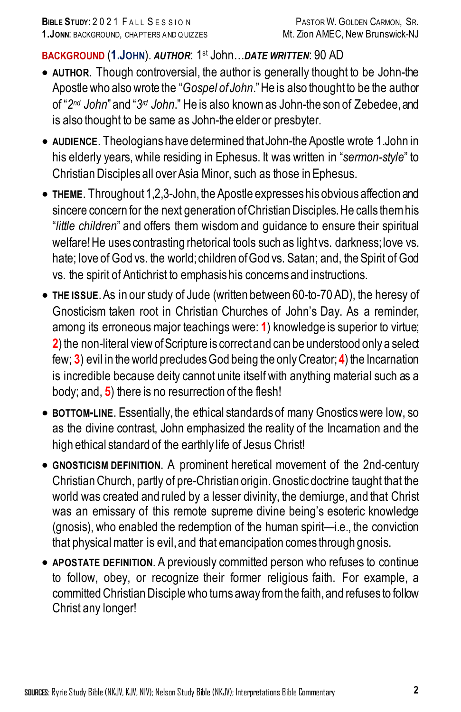#### **BACKGROUND** (**1.JOHN**). *AUTHOR*: 1st John…*DATE WRITTEN*: 90 AD

- **AUTHOR**. Though controversial, the author is generally thought to be John-the Apostle who also wrote the "*Gospel of John*." He is also thought to be the author of "*2nd John*" and "*3rd John*." He is also known as John-the son of Zebedee, and is also thought to be same as John-the elder or presbyter.
- **AUDIENCE**. Theologians have determined that John-the Apostle wrote 1.John in his elderly years, while residing in Ephesus. It was written in "*sermon-style*" to Christian Disciples all over Asia Minor, such as those in Ephesus.
- **THEME**. Throughout 1,2,3-John, the Apostle expresses his obvious affection and sincere concern for the next generation of Christian Disciples. He calls them his "*little children*" and offers them wisdom and guidance to ensure their spiritual welfare! He uses contrasting rhetorical tools such as light vs. darkness; love vs. hate; love of God vs. the world; children of God vs. Satan; and, the Spirit of God vs. the spirit of Antichrist to emphasis his concerns and instructions.
- **THE ISSUE**.As in our study of Jude (written between 60-to-70 AD), the heresy of Gnosticism taken root in Christian Churches of John's Day. As a reminder, among its erroneous major teachings were: **1**) knowledge is superior to virtue; **2**) the non-literal view of Scripture is correct and can be understood only a select few; **3**) evil in the world precludes God being the only Creator; **4**) the Incarnation is incredible because deity cannot unite itself with anything material such as a body; and, **5**) there is no resurrection of the flesh!
- **BOTTOM-LINE**. Essentially, the ethical standards of many Gnostics were low, so as the divine contrast, John emphasized the reality of the Incarnation and the high ethical standard of the earthly life of Jesus Christ!
- **GNOSTICISM DEFINITION**. A prominent heretical movement of the 2nd-century Christian Church, partly of pre-Christian origin. Gnostic doctrine taught that the world was created and ruled by a lesser divinity, the demiurge, and that Christ was an emissary of this remote supreme divine being's esoteric knowledge (gnosis), who enabled the redemption of the human spirit—i.e., the conviction that physical matter is evil, and that emancipation comes through gnosis.
- **APOSTATE DEFINITION**. A previously committed person who refuses to continue to follow, obey, or recognize their former religious faith. For example, a committed Christian Disciple who turns away from the faith, and refuses to follow Christ any longer!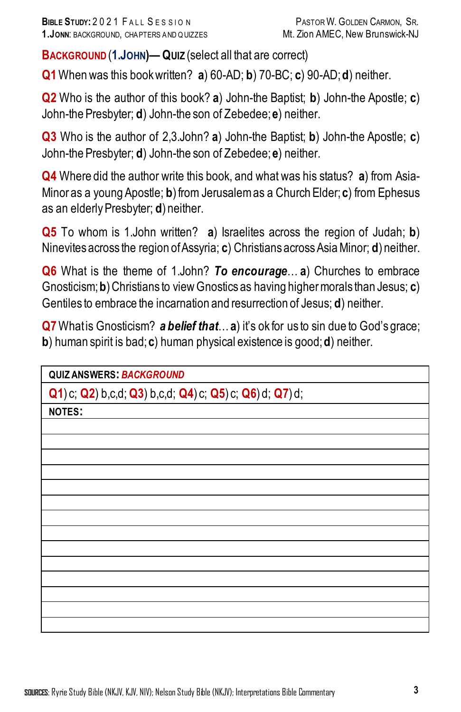**BACKGROUND** (**1.JOHN)— QUIZ** (select all that are correct)

**Q1**When was this bookwritten? **a**) 60-AD; **b**) 70-BC; **c**) 90-AD; **d**) neither.

**Q2** Who is the author of this book? **a**) John-the Baptist; **b**) John-the Apostle; **c**) John-the Presbyter; **d**) John-the son of Zebedee; **e**) neither.

**Q3** Who is the author of 2,3.John? **a**) John-the Baptist; **b**) John-the Apostle; **c**) John-the Presbyter; **d**) John-the son of Zebedee; **e**) neither.

**Q4** Where did the author write this book, and what was his status? **a**) from Asia-Minor as a young Apostle; **b**) from Jerusalem as a Church Elder; **c**) from Ephesus as an elderly Presbyter; **d**) neither.

**Q5** To whom is 1.John written? **a**) Israelites across the region of Judah; **b**) Ninevites across the region of Assyria; **c**) Christians across Asia Minor; **d**) neither.

**Q6** What is the theme of 1.John? *To encourage*… **a**) Churches to embrace Gnosticism; **b**) Christians to view Gnostics as having higher morals than Jesus; **c**) Gentiles to embrace the incarnation and resurrection of Jesus; **d**) neither.

**Q7** What is Gnosticism? **a belief that** ... **a**) it's ok for us to sin due to God's grace; **b**) human spirit is bad; **c**) human physical existence is good; **d**) neither.

**QUIZ ANSWERS:** *BACKGROUND*

**Q1**) c; **Q2**) b,c,d; **Q3**) b,c,d; **Q4**) c; **Q5**) c; **Q6**) d; **Q7**) d;

**NOTES:**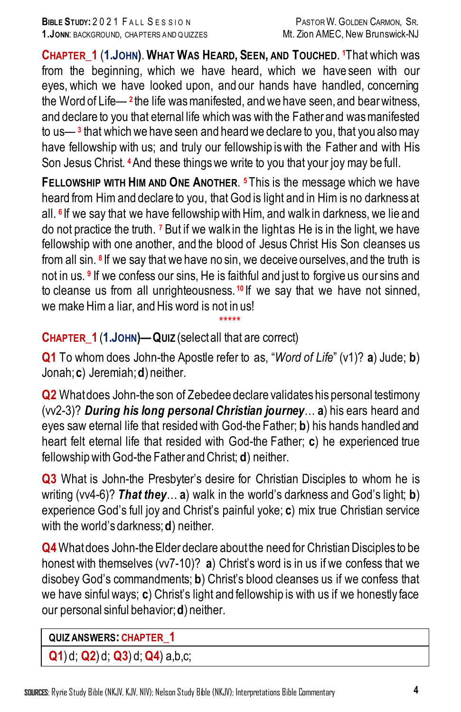**CHAPTER\_1** (**1.JOHN)**. **WHAT WAS HEARD, SEEN, AND TOUCHED**. **<sup>1</sup>**That which was from the beginning, which we have heard, which we have seen with our eyes, which we have looked upon, and our hands have handled, concerning the Word of Life— **<sup>2</sup>** the life was manifested, and we have seen,and bear witness, and declare to you that eternal life which was with the Father and was manifested to us— **<sup>3</sup>** that which we have seen and heard we declare to you, that you also may have fellowship with us; and truly our fellowship iswith the Father and with His Son Jesus Christ. **<sup>4</sup>**And these things we write to you that your joy may be full.

**FELLOWSHIP WITH HIM AND ONE ANOTHER**. **<sup>5</sup>** This is the message which we have heard from Him and declare to you, that God is light and in Him is no darkness at all, <sup>6</sup> If we say that we have fellowship with Him, and walk in darkness, we lie and do not practice the truth. **<sup>7</sup>** But if we walk in the light as He is in the light, we have fellowship with one another, and the blood of Jesus Christ His Son cleanses us from all sin. **<sup>8</sup>** If we say that we have no sin, we deceive ourselves, and the truth is not in us. **<sup>9</sup>** If we confess our sins, He is faithful and just to forgive us our sins and to cleanse us from all unrighteousness. **<sup>10</sup>** If we say that we have not sinned, we make Him a liar, and His word is not in us!

## \*\*\*\*\* **CHAPTER\_1** (**1.JOHN)—QUIZ** (selectall that are correct)

**Q1** To whom does John-the Apostle refer to as, "*Word of Life*" (v1)? **a**) Jude; **b**) Jonah; **c**) Jeremiah; **d**) neither.

**Q2** Whatdoes John-the son of Zebedee declare validates his personal testimony (vv2-3)? *During his long personal Christian journey*… **a**) his ears heard and eyes saw eternal life that resided with God-the Father; **b**) his hands handled and heart felt eternal life that resided with God-the Father; **c**) he experienced true fellowship with God-the Father and Christ; **d**) neither.

**Q3** What is John-the Presbyter's desire for Christian Disciples to whom he is writing (vv4-6)? *That they*… **a**) walk in the world's darkness and God's light; **b**) experience God's full joy and Christ's painful yoke; **c**) mix true Christian service with the world's darkness; **d**) neither.

**Q4** What does John-the Elder declare about the need for Christian Disciples to be honest with themselves (vv7-10)? **a**) Christ's word is in us if we confess that we disobey God's commandments; **b**) Christ's blood cleanses us if we confess that we have sinful ways; **c**) Christ's light and fellowship is with us if we honestly face our personal sinful behavior; **d**) neither.

## **QUIZ ANSWERS: CHAPTER\_1**

**Q1**) d; **Q2**) d; **Q3**) d; **Q4**) a,b,c;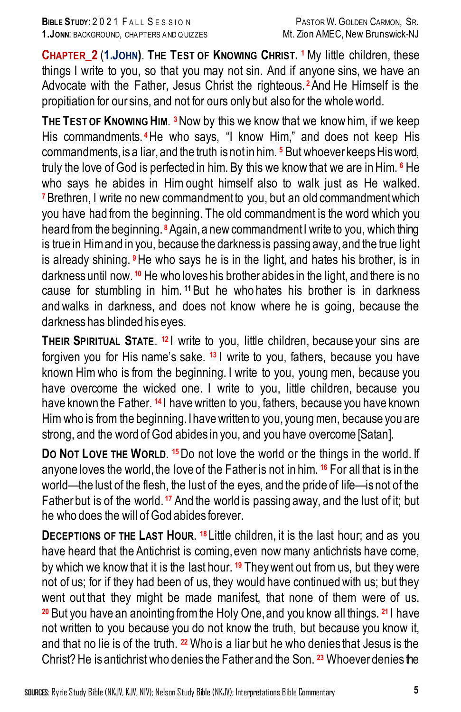**CHAPTER\_2** (**1.JOHN)**. **THE TEST OF KNOWING CHRIST. 1** My little children, these things I write to you, so that you may not sin. And if anyone sins, we have an Advocate with the Father, Jesus Christ the righteous. **<sup>2</sup>**And He Himself is the propitiation for our sins, and not for ours only but also for the whole world.

**THE TEST OF KNOWING HIM**. **3**Now by this we know that we know him, if we keep His commandments. **<sup>4</sup>**He who says, "I know Him," and does not keep His commandments, is a liar, and the truth is not in him. **<sup>5</sup>** But whoever keeps His word, truly the love of God is perfected in him. By this we know that we are in Him. **<sup>6</sup>** He who says he abides in Him ought himself also to walk just as He walked. **<sup>7</sup>**Brethren, I write no new commandment to you, but an old commandment which you have had from the beginning. The old commandment is the word which you heard from the beginning. **<sup>8</sup>**Again,a new commandment I write to you, which thing is true in Him and in you, because the darkness is passing away, and the true light is already shining. **<sup>9</sup>**He who says he is in the light, and hates his brother, is in darkness until now. **<sup>10</sup>** He who loves his brother abides in the light, and there is no cause for stumbling in him. **<sup>11</sup>**But he who hates his brother is in darkness andwalks in darkness, and does not know where he is going, because the darkness has blinded his eyes.

**THEIR SPIRITUAL STATE.** <sup>12</sup> I write to you, little children, because your sins are forgiven you for His name's sake. **<sup>13</sup>** I write to you, fathers, because you have known Him who is from the beginning. I write to you, young men, because you have overcome the wicked one. I write to you, little children, because you have known the Father. **<sup>14</sup>** I have written to you, fathers, because you have known Him who is from the beginning. I have written to you, young men, because you are strong, and the word of God abides in you, and you have overcome [Satan].

**DO NOT LOVE THE WORLD**. **15**Do not love the world or the things in the world. If anyone loves the world, the love of the Father is not in him. **<sup>16</sup>** For all that is in the world—the lust of the flesh, the lust of the eyes, and the pride of life—is not of the Father but is of the world. **<sup>17</sup>** And the world is passing away, and the lust of it; but he who does the will of God abides forever.

**DECEPTIONS OF THE LAST HOUR. <sup>18</sup> Little children, it is the last hour; and as you** have heard that the Antichrist is coming, even now many antichrists have come, by which we knowthat it is the last hour. **<sup>19</sup>** They went out from us, but they were not of us; for if they had been of us, they would have continued with us; but they went out that they might be made manifest, that none of them were of us. **<sup>20</sup>** But you have an anointing from the Holy One, and you know all things. **<sup>21</sup>** I have not written to you because you do not know the truth, but because you know it, and that no lie is of the truth. **<sup>22</sup>** Who is a liar but he who denies that Jesus is the Christ? He is antichrist who denies the Father and the Son. **<sup>23</sup>** Whoever denies the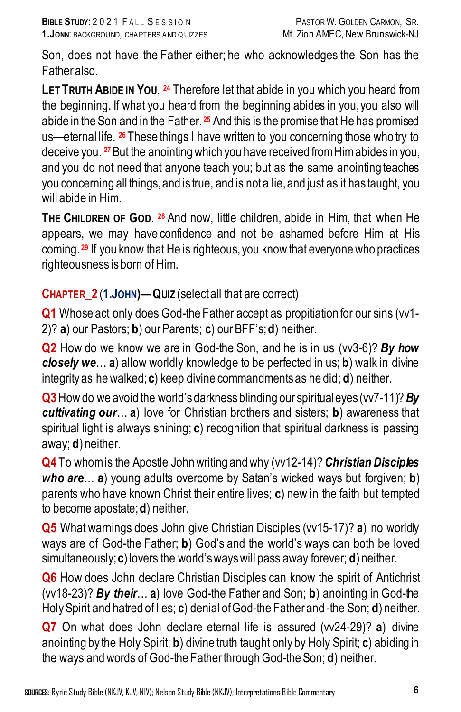Son, does not have the Father either; he who acknowledges the Son has the Father also.

**LET TRUTH ABIDE IN YOU**. **<sup>24</sup>** Therefore let that abide in you which you heard from the beginning. If what you heard from the beginning abides in you,you also will abide in the Son and in the Father. **<sup>25</sup>** And this is the promise that He has promised us—eternal life. **<sup>26</sup>** These things I have written to you concerning those who try to deceive you. **<sup>27</sup>**But the anointing which you have received from Him abides in you, and you do not need that anyone teach you; but as the same anointing teaches you concerning all things, and is true, and is not a lie, and just as it has taught, you will abide in Him.

**THE CHILDREN OF GOD**. **<sup>28</sup>** And now, little children, abide in Him, that when He appears, we may have confidence and not be ashamed before Him at His coming. **<sup>29</sup>** If you know that He is righteous, you know that everyone who practices righteousness is born of Him.

## **CHAPTER\_2** (**1.JOHN)—QUIZ** (selectall that are correct)

**Q1** Whose act only does God-the Father accept as propitiation for our sins (vv1- 2)? **a**) our Pastors; **b**) our Parents; **c**) our BFF's; **d**) neither.

**Q2** How do we know we are in God-the Son, and he is in us (vv3-6)? *By how closely we*… **a**) allow worldly knowledge to be perfected in us; **b**) walk in divine integrity as he walked; **c**) keep divine commandments as he did; **d**) neither.

**Q3**How do we avoid the world's darkness blinding our spiritual eyes (vv7-11)? *By cultivating our*… **a**) love for Christian brothers and sisters; **b**) awareness that spiritual light is always shining; **c**) recognition that spiritual darkness is passing away; **d**) neither.

**Q4** To whom is the Apostle John writing and why (vv12-14)?*Christian Disciples who are*… **a**) young adults overcome by Satan's wicked ways but forgiven; **b**) parents who have known Christ their entire lives; **c**) new in the faith but tempted to become apostate;**d**) neither.

**Q5** What warnings does John give Christian Disciples (vv15-17)? **a**) no worldly ways are of God-the Father; **b**) God's and the world's ways can both be loved simultaneously; **c**) lovers the world's ways will pass away forever; **d**) neither.

**Q6** How does John declare Christian Disciples can know the spirit of Antichrist (vv18-23)? *By their*… **a**) love God-the Father and Son; **b**) anointing in God-the Holy Spirit and hatred of lies; **c**) denial of God-the Father and -the Son; **d**) neither.

**Q7** On what does John declare eternal life is assured (vv24-29)? **a**) divine anointing by the Holy Spirit; **b**) divine truth taught only by Holy Spirit; **c**) abiding in the ways and words of God-the Father through God-the Son; **d**) neither.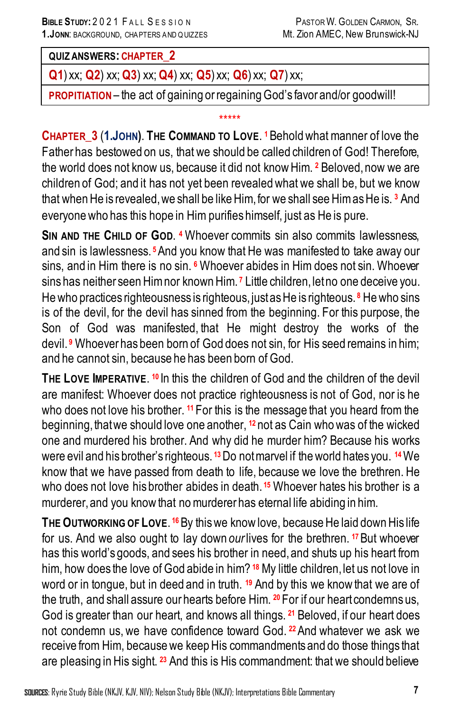#### **QUIZ ANSWERS: CHAPTER\_2**

**Q1**) xx; **Q2**) xx; **Q3**) xx; **Q4**) xx; **Q5**) xx; **Q6**) xx; **Q7**) xx;

**PROPITIATION** – the act of gaining or regaining God's favor and/or goodwill!

#### \*\*\*\*\*

**CHAPTER\_3** (**1.JOHN)**. **THE COMMAND TO LOVE**. **1**Beholdwhat manner of love the Father has bestowed on us, that we should be called children of God! Therefore, the world does not know us, because it did not know Him. **<sup>2</sup>** Beloved,now we are children of God; and it has not yet been revealed what we shall be, but we know that when He is revealed,we shall be like Him, for we shall see Him as He is. **<sup>3</sup>** And everyone who has this hope in Him purifies himself, just as He is pure.

**SIN AND THE CHILD OF GOD**. **<sup>4</sup>** Whoever commits sin also commits lawlessness, and sin is lawlessness. **<sup>5</sup>**And you know that He was manifested to take away our sins, and in Him there is no sin. **<sup>6</sup>** Whoever abides in Him does not sin. Whoever sins has neither seen Him nor known Him. **<sup>7</sup>** Little children, let no one deceive you. He who practices righteousness is righteous, just as He is righteous. **<sup>8</sup>** He who sins is of the devil, for the devil has sinned from the beginning. For this purpose, the Son of God was manifested, that He might destroy the works of the devil. **<sup>9</sup>** Whoever has been born of God does not sin, for His seed remains in him; and he cannot sin, because he has been born of God.

**THE LOVE IMPERATIVE**. **<sup>10</sup>** In this the children of God and the children of the devil are manifest: Whoever does not practice righteousness is not of God, nor is he who does not love his brother. **<sup>11</sup>** For this is the message that you heard from the beginning, that we should love one another, <sup>12</sup> not as Cain who was of the wicked one and murdered his brother. And why did he murder him? Because his works were evil and his brother's righteous. **<sup>13</sup>**Do not marvel if the world hates you. **<sup>14</sup>**We know that we have passed from death to life, because we love the brethren. He who does not love his brother abides in death. **<sup>15</sup>** Whoever hates his brother is a murderer, and you know that no murderer has eternal life abiding in him.

**THE OUTWORKING OF LOVE**. **16**By this we know love, because He laid down His life for us. And we also ought to lay down *our*lives for the brethren. **<sup>17</sup>**But whoever has this world's goods, and sees his brother in need, and shuts up his heart from him, how does the love of God abide in him? <sup>18</sup> My little children, let us not love in word or in tongue, but in deed and in truth. **<sup>19</sup>** And by this we knowthat we are of the truth, and shall assure our hearts before Him. **<sup>20</sup>** For if our heart condemns us, God is greater than our heart, and knows all things. **<sup>21</sup>** Beloved, if our heart does not condemn us, we have confidence toward God. **<sup>22</sup>**And whatever we ask we receive from Him, because we keep His commandments and do those things that are pleasing in His sight. **<sup>23</sup>** And this is His commandment: that we should believe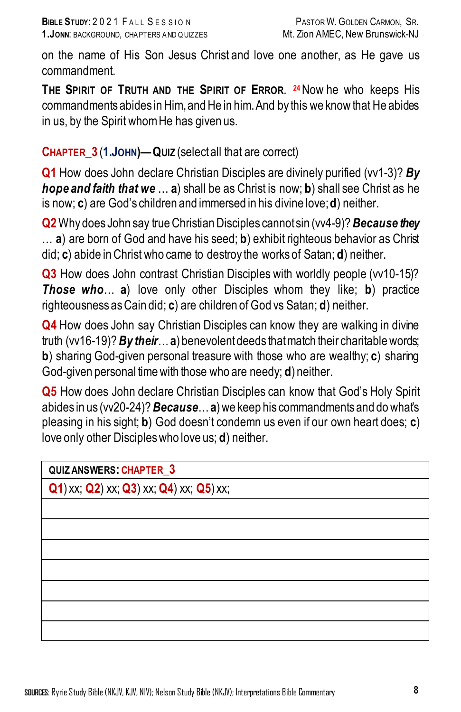on the name of His Son Jesus Christ and love one another, as He gave us commandment.

**THE SPIRIT OF TRUTH AND THE SPIRIT OF ERROR**. **24**Now he who keeps His commandments abides in Him, and He in him. And by this we know that He abides in us, by the Spirit whom He has given us.

## **CHAPTER\_3** (**1.JOHN)—QUIZ** (select all that are correct)

**Q1** How does John declare Christian Disciples are divinely purified (vv1-3)? **By** *hope and faith that we* … **a**) shall be as Christ is now; **b**) shall see Christ as he is now; **c**) are God's children and immersed in his divine love; **d**) neither.

**Q2**Why does John say true Christian Disciples cannot sin (vv4-9)? *Because they*  … **a**) are born of God and have his seed; **b**) exhibit righteous behavior as Christ did; **c**) abide in Christ who came to destroy the works of Satan; **d**) neither.

**Q3** How does John contrast Christian Disciples with worldly people (vv10-15)? *Those who*… **a**) love only other Disciples whom they like; **b**) practice righteousness as Cain did; **c**) are children of God vs Satan; **d**) neither.

**Q4** How does John say Christian Disciples can know they are walking in divine truth (vv16-19)? *By their*… **a**) benevolent deeds that match their charitable words; **b**) sharing God-given personal treasure with those who are wealthy; **c**) sharing God-given personal time with those who are needy; **d**) neither.

**Q5** How does John declare Christian Disciples can know that God's Holy Spirit abides in us (vv20-24)?*Because*…**a**) we keep his commandments and do what's pleasing in his sight; **b**) God doesn't condemn us even if our own heart does; **c**) love only other Disciples who love us; **d**) neither.

| QUIZ ANSWERS: CHAPTER 3                                |  |
|--------------------------------------------------------|--|
| $Q$ 1) xx; $Q$ 2) xx; $Q$ 3) xx; $Q$ 4) xx; $Q$ 5) xx; |  |
|                                                        |  |
|                                                        |  |
|                                                        |  |
|                                                        |  |
|                                                        |  |
|                                                        |  |
|                                                        |  |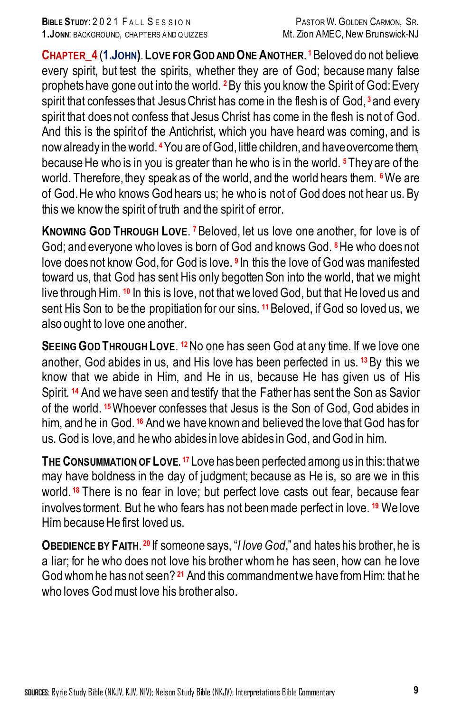**CHAPTER\_4** (**1.JOHN)**.**LOVE FOR GOD AND ONE ANOTHER**. **1**Beloved do not believe every spirit, but test the spirits, whether they are of God; becausemany false prophets have gone out into the world. **<sup>2</sup>**By this you know the Spirit of God:Every spirit that confesses that Jesus Christ has come in the flesh is of God, **<sup>3</sup>** and every spirit that does not confess that Jesus Christ has come in the flesh is not of God. And this is the spiritof the Antichrist, which you have heard was coming, and is now already in the world. **<sup>4</sup>**You are of God, little children, and have overcome them, because He who is in you is greater than he who is in the world. **<sup>5</sup>** They are of the world. Therefore, they speak as of the world, and the world hears them. <sup>6</sup>We are of God. He who knows God hears us; he who is not of God does not hear us. By this we know the spirit of truth and the spirit of error.

**KNOWING GOD THROUGH LOVE**. **7**Beloved, let us love one another, for love is of God; and everyone who loves is born of God and knows God. **<sup>8</sup>**He who does not love does not know God, for God is love. **<sup>9</sup>** In this the love of God was manifested toward us, that God has sent His only begotten Son into the world, that we might live through Him. **<sup>10</sup>** In this is love, not that we loved God, but that He loved us and sent His Son to be the propitiation for our sins. **<sup>11</sup>**Beloved, if God so loved us, we also ought to love one another.

**SEEING GOD THROUGH LOVE**. **12**No one has seen God at any time. If we love one another, God abides in us, and His love has been perfected in us. **<sup>13</sup>**By this we know that we abide in Him, and He in us, because He has given us of His Spirit. **<sup>14</sup>** And we have seen and testify that the Father has sent the Son as Savior of the world. **<sup>15</sup>**Whoever confesses that Jesus is the Son of God, God abides in him, and he in God. **<sup>16</sup>** And we have known and believed the love that God has for us. God is love, and he who abides in love abides in God, and God in him.

**THE CONSUMMATION OF LOVE**. **<sup>17</sup>** Love has been perfected among us in this: thatwe may have boldness in the day of judgment; because as He is, so are we in this world. **<sup>18</sup>** There is no fear in love; but perfect love casts out fear, because fear involves torment. But he who fears has not been made perfect in love. **<sup>19</sup>** We love Him because He first loved us.

**OBEDIENCE BY FAITH**. **<sup>20</sup>** If someone says, "*I love God*," and hates his brother, he is a liar; for he who does not love his brother whom he has seen, how can he love Godwhom he has not seen? **<sup>21</sup>** And this commandment we have from Him: that he who loves Godmust love his brother also.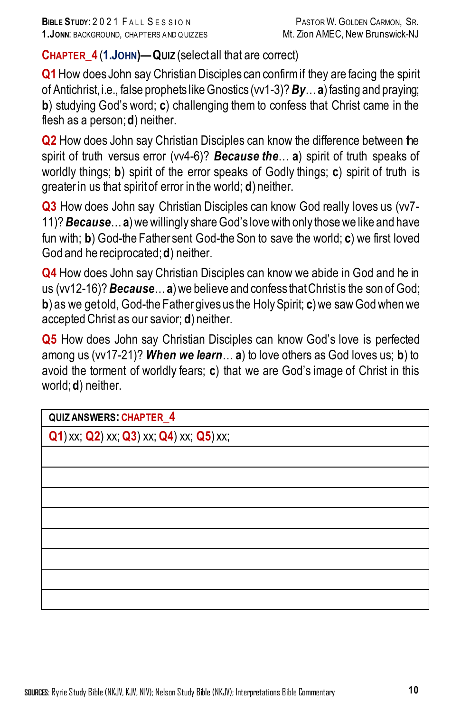**CHAPTER\_4** (**1.JOHN)—QUIZ** (selectall that are correct)

**Q1**How does John say Christian Disciples can confirm if they are facing the spirit of Antichrist, i.e., false prophets like Gnostics (vv1-3)? *By*… **a**) fasting and praying; **b**) studying God's word; **c**) challenging them to confess that Christ came in the flesh as a person; **d**) neither.

**Q2** How does John say Christian Disciples can know the difference between the spirit of truth versus error (vv4-6)? *Because the*… **a**) spirit of truth speaks of worldly things; **b**) spirit of the error speaks of Godly things; **c**) spirit of truth is greater in us that spirit of error in the world; **d**) neither.

**Q3** How does John say Christian Disciples can know God really loves us (vv7- 11)? *Because*… **a**) we willingly share God's love with only those we like and have fun with; **b**) God-the Father sent God-the Son to save the world; **c**) we first loved God and he reciprocated; **d**) neither.

**Q4** How does John say Christian Disciples can know we abide in God and he in us (vv12-16)? *Because*… **a**) we believe and confess that Christ is the son of God; **b**) as we get old, God-the Father gives us the Holy Spirit; **c**) we saw God when we accepted Christ as our savior; **d**) neither.

**Q5** How does John say Christian Disciples can know God's love is perfected among us (vv17-21)? *When we learn*… **a**) to love others as God loves us; **b**) to avoid the torment of worldly fears; **c**) that we are God's image of Christ in this world; **d**) neither.

| QUIZ ANSWERS: CHAPTER_4                                |  |
|--------------------------------------------------------|--|
| $Q1$ ) xx; $Q2$ ) xx; $Q3$ ) xx; $Q4$ ) xx; $Q5$ ) xx; |  |
|                                                        |  |
|                                                        |  |
|                                                        |  |
|                                                        |  |
|                                                        |  |
|                                                        |  |
|                                                        |  |
|                                                        |  |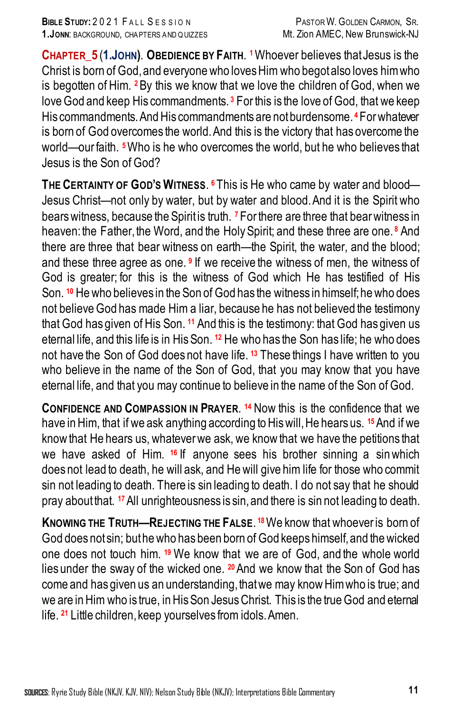**CHAPTER\_5** (**1.JOHN)**. **OBEDIENCE BY FAITH**. **1**Whoever believes that Jesus is the Christ is born of God, and everyone who loves Him who begot also loves him who is begotten of Him. **<sup>2</sup>**By this we know that we love the children of God, when we love God and keep His commandments. **<sup>3</sup>** For this is the love of God, that we keep His commandments. And His commandments are not burdensome. <sup>4</sup> For whatever is born of God overcomes the world. And this is the victory that has overcome the world—our faith. **5**Who is he who overcomes the world, but he who believes that Jesus is the Son of God?

**THE CERTAINTY OF GOD'S WITNESS**. **<sup>6</sup>** This is He who came by water and blood— Jesus Christ—not only by water, but by water and blood.And it is the Spirit who bears witness, because the Spirit is truth. **<sup>7</sup>** For there are three that bear witness in heaven: the Father, the Word, and the Holy Spirit; and these three are one.<sup>8</sup> And there are three that bear witness on earth—the Spirit, the water, and the blood; and these three agree as one. **<sup>9</sup>** If we receive the witness of men, the witness of God is greater; for this is the witness of God which He has testified of His Son. **<sup>10</sup>** He who believes in the Son of God has the witness in himself; he who does not believe God has made Him a liar, because he has not believed the testimony that God has given of His Son. **<sup>11</sup>** And this is the testimony: that God has given us eternal life, and this life is in His Son. **<sup>12</sup>** He who has the Son has life; he who does not have the Son of God does not have life. **<sup>13</sup>** These things I have written to you who believe in the name of the Son of God, that you may know that you have eternal life, and that you may continue to believe in the name of the Son of God.

**CONFIDENCE AND COMPASSION IN PRAYER**. **<sup>14</sup>** Now this is the confidence that we have in Him, that if we ask anything according to His will, He hears us. **<sup>15</sup>**And if we know that He hears us, whatever we ask, we know that we have the petitions that we have asked of Him. **<sup>16</sup>** If anyone sees his brother sinning a sinwhich does not lead to death, he will ask, and He will give him life for those who commit sin not leading to death. There is sin leading to death. I do not say that he should pray about that. **<sup>17</sup>**All unrighteousness is sin, and there is sin not leading to death.

**KNOWING THE TRUTH—REJECTING THE FALSE**. **18**We know that whoever is born of God does not sin; but he who has been born of God keeps himself, and the wicked one does not touch him. **<sup>19</sup>** We know that we are of God, and the whole world lies under the sway of the wicked one. **20**And we know that the Son of God has come and has given us an understanding, that we may know Him who is true; and we are in Him who is true, in His Son Jesus Christ. This is the true God and eternal life. **<sup>21</sup>** Little children, keep yourselves from idols. Amen.